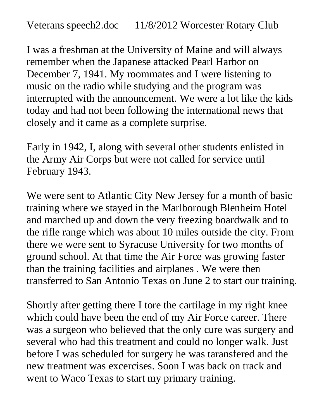I was a freshman at the University of Maine and will always remember when the Japanese attacked Pearl Harbor on December 7, 1941. My roommates and I were listening to music on the radio while studying and the program was interrupted with the announcement. We were a lot like the kids today and had not been following the international news that closely and it came as a complete surprise.

Early in 1942, I, along with several other students enlisted in the Army Air Corps but were not called for service until February 1943.

We were sent to Atlantic City New Jersey for a month of basic training where we stayed in the Marlborough Blenheim Hotel and marched up and down the very freezing boardwalk and to the rifle range which was about 10 miles outside the city. From there we were sent to Syracuse University for two months of ground school. At that time the Air Force was growing faster than the training facilities and airplanes . We were then transferred to San Antonio Texas on June 2 to start our training.

Shortly after getting there I tore the cartilage in my right knee which could have been the end of my Air Force career. There was a surgeon who believed that the only cure was surgery and several who had this treatment and could no longer walk. Just before I was scheduled for surgery he was taransfered and the new treatment was excercises. Soon I was back on track and went to Waco Texas to start my primary training.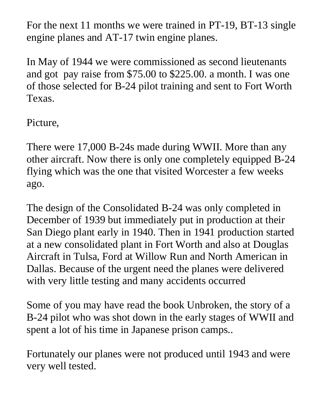For the next 11 months we were trained in PT-19, BT-13 single engine planes and AT-17 twin engine planes.

In May of 1944 we were commissioned as second lieutenants and got pay raise from \$75.00 to \$225.00. a month. I was one of those selected for B-24 pilot training and sent to Fort Worth Texas.

Picture,

There were 17,000 B-24s made during WWII. More than any other aircraft. Now there is only one completely equipped B-24 flying which was the one that visited Worcester a few weeks ago.

The design of the Consolidated B-24 was only completed in December of 1939 but immediately put in production at their San Diego plant early in 1940. Then in 1941 production started at a new consolidated plant in Fort Worth and also at Douglas Aircraft in Tulsa, Ford at Willow Run and North American in Dallas. Because of the urgent need the planes were delivered with very little testing and many accidents occurred

Some of you may have read the book Unbroken, the story of a B-24 pilot who was shot down in the early stages of WWII and spent a lot of his time in Japanese prison camps..

Fortunately our planes were not produced until 1943 and were very well tested.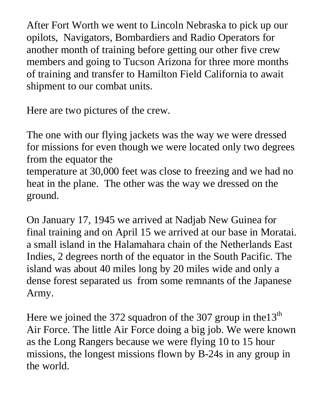After Fort Worth we went to Lincoln Nebraska to pick up our opilots, Navigators, Bombardiers and Radio Operators for another month of training before getting our other five crew members and going to Tucson Arizona for three more months of training and transfer to Hamilton Field California to await shipment to our combat units.

Here are two pictures of the crew.

The one with our flying jackets was the way we were dressed for missions for even though we were located only two degrees from the equator the temperature at 30,000 feet was close to freezing and we had no heat in the plane. The other was the way we dressed on the ground.

On January 17, 1945 we arrived at Nadjab New Guinea for final training and on April 15 we arrived at our base in Moratai. a small island in the Halamahara chain of the Netherlands East Indies, 2 degrees north of the equator in the South Pacific. The island was about 40 miles long by 20 miles wide and only a dense forest separated us from some remnants of the Japanese Army.

Here we joined the 372 squadron of the 307 group in the  $13<sup>th</sup>$ Air Force. The little Air Force doing a big job. We were known as the Long Rangers because we were flying 10 to 15 hour missions, the longest missions flown by B-24s in any group in the world.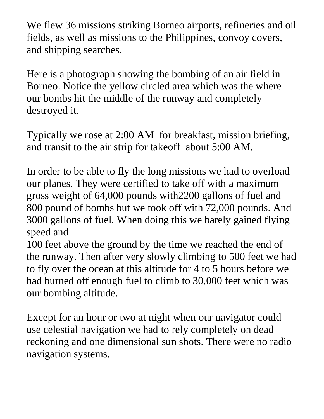We flew 36 missions striking Borneo airports, refineries and oil fields, as well as missions to the Philippines, convoy covers, and shipping searches.

Here is a photograph showing the bombing of an air field in Borneo. Notice the yellow circled area which was the where our bombs hit the middle of the runway and completely destroyed it.

Typically we rose at 2:00 AM for breakfast, mission briefing, and transit to the air strip for takeoff about 5:00 AM.

In order to be able to fly the long missions we had to overload our planes. They were certified to take off with a maximum gross weight of 64,000 pounds with2200 gallons of fuel and 800 pound of bombs but we took off with 72,000 pounds. And 3000 gallons of fuel. When doing this we barely gained flying speed and

100 feet above the ground by the time we reached the end of the runway. Then after very slowly climbing to 500 feet we had to fly over the ocean at this altitude for 4 to 5 hours before we had burned off enough fuel to climb to 30,000 feet which was our bombing altitude.

Except for an hour or two at night when our navigator could use celestial navigation we had to rely completely on dead reckoning and one dimensional sun shots. There were no radio navigation systems.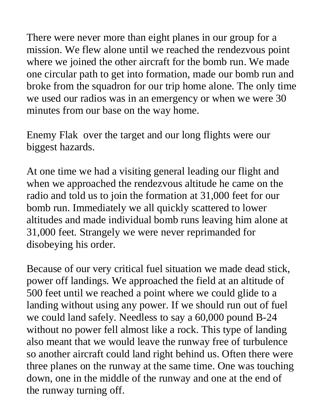There were never more than eight planes in our group for a mission. We flew alone until we reached the rendezvous point where we joined the other aircraft for the bomb run. We made one circular path to get into formation, made our bomb run and broke from the squadron for our trip home alone. The only time we used our radios was in an emergency or when we were 30 minutes from our base on the way home.

Enemy Flak over the target and our long flights were our biggest hazards.

At one time we had a visiting general leading our flight and when we approached the rendezvous altitude he came on the radio and told us to join the formation at 31,000 feet for our bomb run. Immediately we all quickly scattered to lower altitudes and made individual bomb runs leaving him alone at 31,000 feet. Strangely we were never reprimanded for disobeying his order.

Because of our very critical fuel situation we made dead stick, power off landings. We approached the field at an altitude of 500 feet until we reached a point where we could glide to a landing without using any power. If we should run out of fuel we could land safely. Needless to say a 60,000 pound B-24 without no power fell almost like a rock. This type of landing also meant that we would leave the runway free of turbulence so another aircraft could land right behind us. Often there were three planes on the runway at the same time. One was touching down, one in the middle of the runway and one at the end of the runway turning off.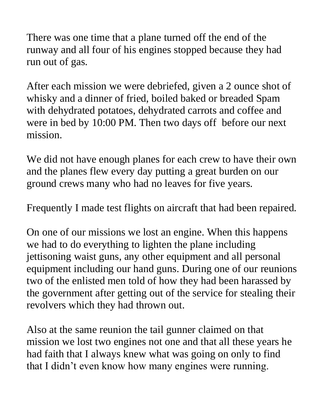There was one time that a plane turned off the end of the runway and all four of his engines stopped because they had run out of gas.

After each mission we were debriefed, given a 2 ounce shot of whisky and a dinner of fried, boiled baked or breaded Spam with dehydrated potatoes, dehydrated carrots and coffee and were in bed by 10:00 PM. Then two days off before our next mission.

We did not have enough planes for each crew to have their own and the planes flew every day putting a great burden on our ground crews many who had no leaves for five years.

Frequently I made test flights on aircraft that had been repaired.

On one of our missions we lost an engine. When this happens we had to do everything to lighten the plane including jettisoning waist guns, any other equipment and all personal equipment including our hand guns. During one of our reunions two of the enlisted men told of how they had been harassed by the government after getting out of the service for stealing their revolvers which they had thrown out.

Also at the same reunion the tail gunner claimed on that mission we lost two engines not one and that all these years he had faith that I always knew what was going on only to find that I didn't even know how many engines were running.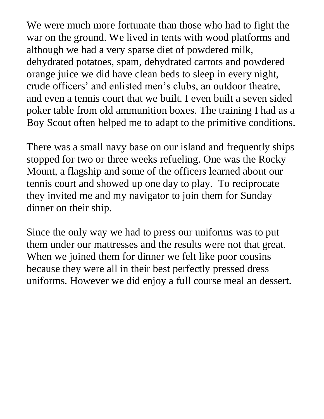We were much more fortunate than those who had to fight the war on the ground. We lived in tents with wood platforms and although we had a very sparse diet of powdered milk, dehydrated potatoes, spam, dehydrated carrots and powdered orange juice we did have clean beds to sleep in every night, crude officers' and enlisted men's clubs, an outdoor theatre, and even a tennis court that we built. I even built a seven sided poker table from old ammunition boxes. The training I had as a Boy Scout often helped me to adapt to the primitive conditions.

There was a small navy base on our island and frequently ships stopped for two or three weeks refueling. One was the Rocky Mount, a flagship and some of the officers learned about our tennis court and showed up one day to play. To reciprocate they invited me and my navigator to join them for Sunday dinner on their ship.

Since the only way we had to press our uniforms was to put them under our mattresses and the results were not that great. When we joined them for dinner we felt like poor cousins because they were all in their best perfectly pressed dress uniforms. However we did enjoy a full course meal an dessert.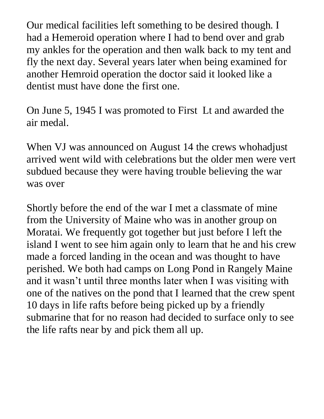Our medical facilities left something to be desired though. I had a Hemeroid operation where I had to bend over and grab my ankles for the operation and then walk back to my tent and fly the next day. Several years later when being examined for another Hemroid operation the doctor said it looked like a dentist must have done the first one.

On June 5, 1945 I was promoted to First Lt and awarded the air medal.

When VJ was announced on August 14 the crews whohadjust arrived went wild with celebrations but the older men were vert subdued because they were having trouble believing the war was over

Shortly before the end of the war I met a classmate of mine from the University of Maine who was in another group on Moratai. We frequently got together but just before I left the island I went to see him again only to learn that he and his crew made a forced landing in the ocean and was thought to have perished. We both had camps on Long Pond in Rangely Maine and it wasn't until three months later when I was visiting with one of the natives on the pond that I learned that the crew spent 10 days in life rafts before being picked up by a friendly submarine that for no reason had decided to surface only to see the life rafts near by and pick them all up.